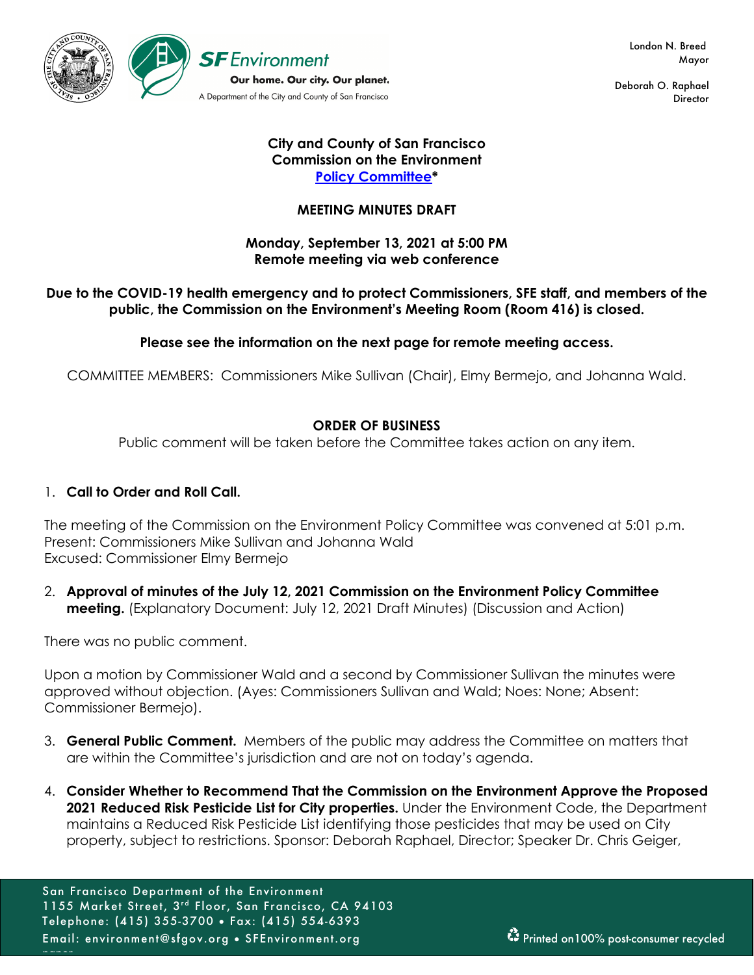

 London N. Breed Mayor

Deborah O. Raphael **Director** 

### **City and County of San Francisco Commission on the Environment Policy Committee\***

# **MEETING MINUTES DRAFT**

# **Monday, September 13, 2021 at 5:00 PM Remote meeting via web conference**

# **Due to the COVID-19 health emergency and to protect Commissioners, SFE staff, and members of the public, the Commission on the Environment's Meeting Room (Room 416) is closed.**

**Please see the information on the next page for remote meeting access.** 

COMMITTEE MEMBERS: Commissioners Mike Sullivan (Chair), Elmy Bermejo, and Johanna Wald.

# **ORDER OF BUSINESS**

Public comment will be taken before the Committee takes action on any item.

# 1. **Call to Order and Roll Call.**

The meeting of the Commission on the Environment Policy Committee was convened at 5:01 p.m. Present: Commissioners Mike Sullivan and Johanna Wald Excused: Commissioner Elmy Bermejo

2. **Approval of minutes of the July 12, 2021 Commission on the Environment Policy Committee meeting.** (Explanatory Document: July 12, 2021 Draft Minutes) (Discussion and Action)

There was no public comment.

paper.

Upon a motion by Commissioner Wald and a second by Commissioner Sullivan the minutes were approved without objection. (Ayes: Commissioners Sullivan and Wald; Noes: None; Absent: Commissioner Bermejo).

- 3. **General Public Comment.** Members of the public may address the Committee on matters that are within the Committee's jurisdiction and are not on today's agenda.
- 4. **Consider Whether to Recommend That the Commission on the Environment Approve the Proposed 2021 Reduced Risk Pesticide List for City properties.** Under the Environment Code, the Department maintains a Reduced Risk Pesticide List identifying those pesticides that may be used on City property, subject to restrictions. Sponsor: Deborah Raphael, Director; Speaker Dr. Chris Geiger,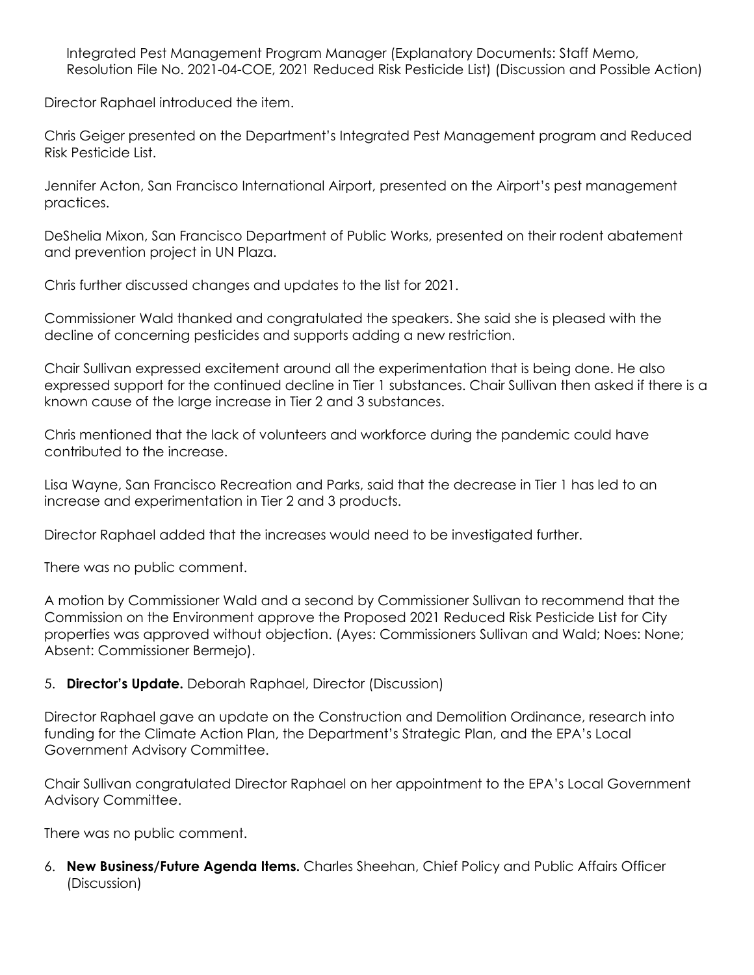Integrated Pest Management Program Manager (Explanatory Documents: Staff Memo, Resolution File No. 2021-04-COE, 2021 Reduced Risk Pesticide List) (Discussion and Possible Action)

Director Raphael introduced the item.

Chris Geiger presented on the Department's Integrated Pest Management program and Reduced Risk Pesticide List.

Jennifer Acton, San Francisco International Airport, presented on the Airport's pest management practices.

DeShelia Mixon, San Francisco Department of Public Works, presented on their rodent abatement and prevention project in UN Plaza.

Chris further discussed changes and updates to the list for 2021.

Commissioner Wald thanked and congratulated the speakers. She said she is pleased with the decline of concerning pesticides and supports adding a new restriction.

Chair Sullivan expressed excitement around all the experimentation that is being done. He also expressed support for the continued decline in Tier 1 substances. Chair Sullivan then asked if there is a known cause of the large increase in Tier 2 and 3 substances.

Chris mentioned that the lack of volunteers and workforce during the pandemic could have contributed to the increase.

Lisa Wayne, San Francisco Recreation and Parks, said that the decrease in Tier 1 has led to an increase and experimentation in Tier 2 and 3 products.

Director Raphael added that the increases would need to be investigated further.

There was no public comment.

A motion by Commissioner Wald and a second by Commissioner Sullivan to recommend that the Commission on the Environment approve the Proposed 2021 Reduced Risk Pesticide List for City properties was approved without objection. (Ayes: Commissioners Sullivan and Wald; Noes: None; Absent: Commissioner Bermejo).

# 5. **Director's Update.** Deborah Raphael, Director (Discussion)

Director Raphael gave an update on the Construction and Demolition Ordinance, research into funding for the Climate Action Plan, the Department's Strategic Plan, and the EPA's Local Government Advisory Committee.

Chair Sullivan congratulated Director Raphael on her appointment to the EPA's Local Government Advisory Committee.

There was no public comment.

6. **New Business/Future Agenda Items.** Charles Sheehan, Chief Policy and Public Affairs Officer (Discussion)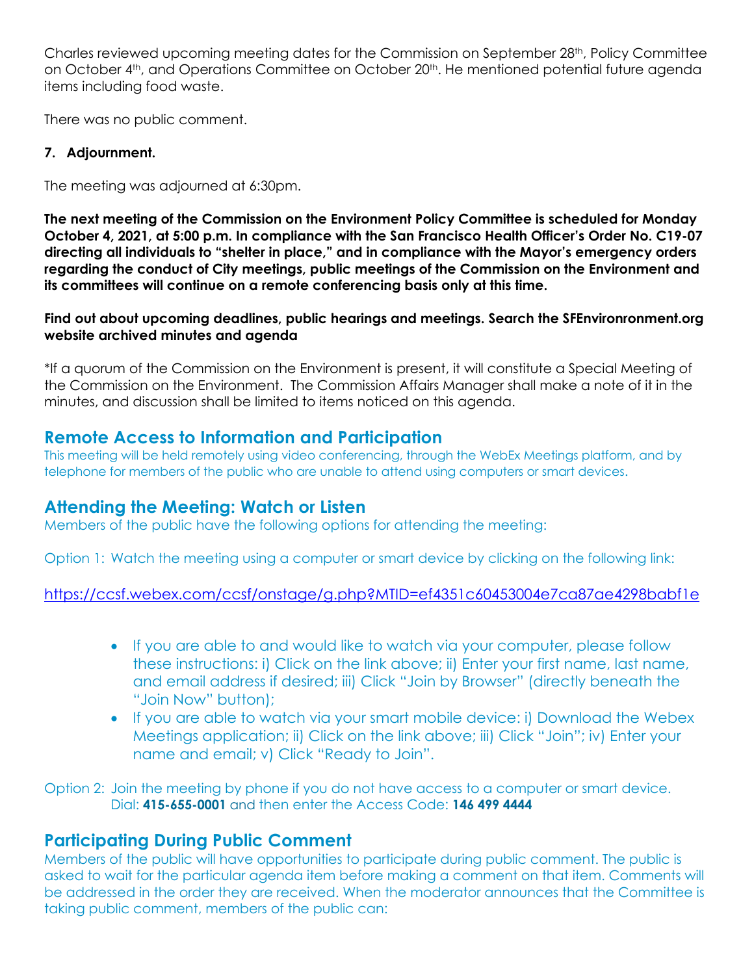Charles reviewed upcoming meeting dates for the Commission on September 28th, Policy Committee on October 4<sup>th</sup>, and Operations Committee on October 20<sup>th</sup>. He mentioned potential future agenda items including food waste.

There was no public comment.

# **7. Adjournment.**

The meeting was adjourned at 6:30pm.

**The next meeting of the Commission on the Environment Policy Committee is scheduled for Monday October 4, 2021, at 5:00 p.m. In compliance with the San Francisco Health Officer's Order No. C19-07 directing all individuals to "shelter in place," and in compliance with the Mayor's emergency orders regarding the conduct of City meetings, public meetings of the Commission on the Environment and its committees will continue on a remote conferencing basis only at this time.**

**Find out about upcoming deadlines, public hearings and meetings. Search the SFEnvironronment.org website archived minutes and agenda**

\*If a quorum of the Commission on the Environment is present, it will constitute a Special Meeting of the Commission on the Environment. The Commission Affairs Manager shall make a note of it in the minutes, and discussion shall be limited to items noticed on this agenda.

# **Remote Access to Information and Participation**

This meeting will be held remotely using video conferencing, through the WebEx Meetings platform, and by telephone for members of the public who are unable to attend using computers or smart devices.

# **Attending the Meeting: Watch or Listen**

Members of the public have the following options for attending the meeting:

Option 1: Watch the meeting using a computer or smart device by clicking on the following link:

# https://ccsf.webex.com/ccsf/onstage/g.php?MTID=ef4351c60453004e7ca87ae4298babf1e

- If you are able to and would like to watch via your computer, please follow these instructions: i) Click on the link above; ii) Enter your first name, last name, and email address if desired; iii) Click "Join by Browser" (directly beneath the "Join Now" button);
- If you are able to watch via your smart mobile device: i) Download the Webex Meetings application; ii) Click on the link above; iii) Click "Join"; iv) Enter your name and email; v) Click "Ready to Join".

Option 2: Join the meeting by phone if you do not have access to a computer or smart device. Dial: **415-655-0001** and then enter the Access Code: **146 499 4444**

# **Participating During Public Comment**

Members of the public will have opportunities to participate during public comment. The public is asked to wait for the particular agenda item before making a comment on that item. Comments will be addressed in the order they are received. When the moderator announces that the Committee is taking public comment, members of the public can: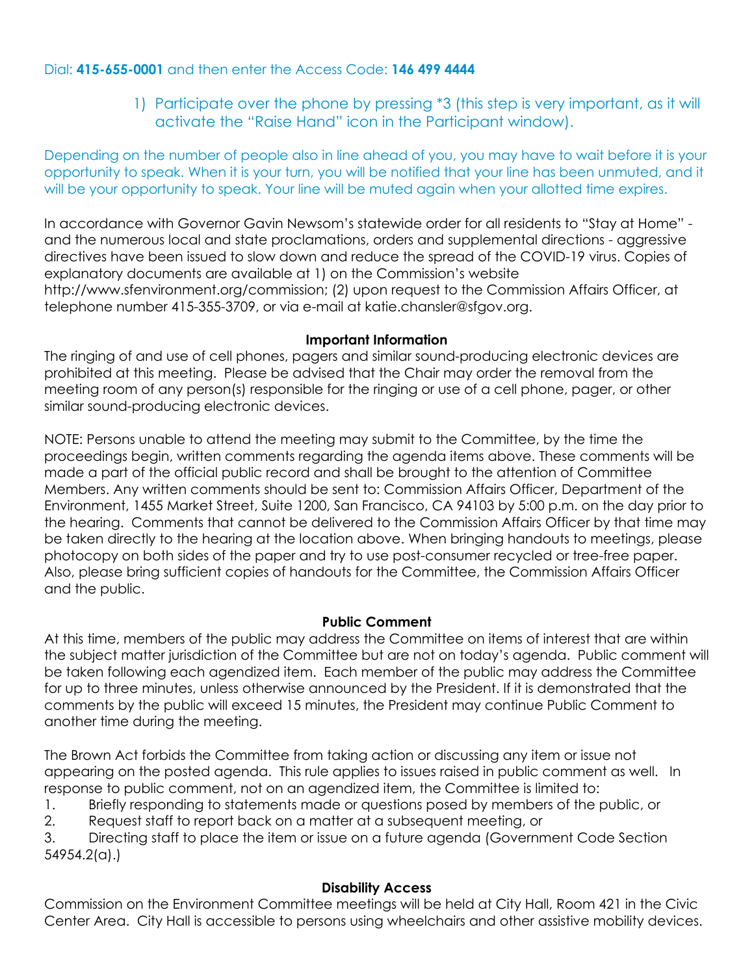# Dial: **415-655-0001** and then enter the Access Code: **146 499 4444**

1) Participate over the phone by pressing \*3 (this step is very important, as it will activate the "Raise Hand" icon in the Participant window).

Depending on the number of people also in line ahead of you, you may have to wait before it is your opportunity to speak. When it is your turn, you will be notified that your line has been unmuted, and it will be your opportunity to speak. Your line will be muted again when your allotted time expires.

In accordance with Governor Gavin Newsom's statewide order for all residents to "Stay at Home" and the numerous local and state proclamations, orders and supplemental directions - aggressive directives have been issued to slow down and reduce the spread of the COVID-19 virus. Copies of explanatory documents are available at 1) on the Commission's website http://www.sfenvironment.org/commission; (2) upon request to the Commission Affairs Officer, at telephone number 415-355-3709, or via e-mail at katie.chansler@sfgov.org.

# **Important Information**

The ringing of and use of cell phones, pagers and similar sound-producing electronic devices are prohibited at this meeting. Please be advised that the Chair may order the removal from the meeting room of any person(s) responsible for the ringing or use of a cell phone, pager, or other similar sound-producing electronic devices.

NOTE: Persons unable to attend the meeting may submit to the Committee, by the time the proceedings begin, written comments regarding the agenda items above. These comments will be made a part of the official public record and shall be brought to the attention of Committee Members. Any written comments should be sent to: Commission Affairs Officer, Department of the Environment, 1455 Market Street, Suite 1200, San Francisco, CA 94103 by 5:00 p.m. on the day prior to the hearing. Comments that cannot be delivered to the Commission Affairs Officer by that time may be taken directly to the hearing at the location above. When bringing handouts to meetings, please photocopy on both sides of the paper and try to use post-consumer recycled or tree-free paper. Also, please bring sufficient copies of handouts for the Committee, the Commission Affairs Officer and the public.

# **Public Comment**

At this time, members of the public may address the Committee on items of interest that are within the subject matter jurisdiction of the Committee but are not on today's agenda. Public comment will be taken following each agendized item. Each member of the public may address the Committee for up to three minutes, unless otherwise announced by the President. If it is demonstrated that the comments by the public will exceed 15 minutes, the President may continue Public Comment to another time during the meeting.

The Brown Act forbids the Committee from taking action or discussing any item or issue not appearing on the posted agenda. This rule applies to issues raised in public comment as well. In response to public comment, not on an agendized item, the Committee is limited to:

1. Briefly responding to statements made or questions posed by members of the public, or

2. Request staff to report back on a matter at a subsequent meeting, or

3. Directing staff to place the item or issue on a future agenda (Government Code Section 54954.2(a).)

# **Disability Access**

Commission on the Environment Committee meetings will be held at City Hall, Room 421 in the Civic Center Area. City Hall is accessible to persons using wheelchairs and other assistive mobility devices.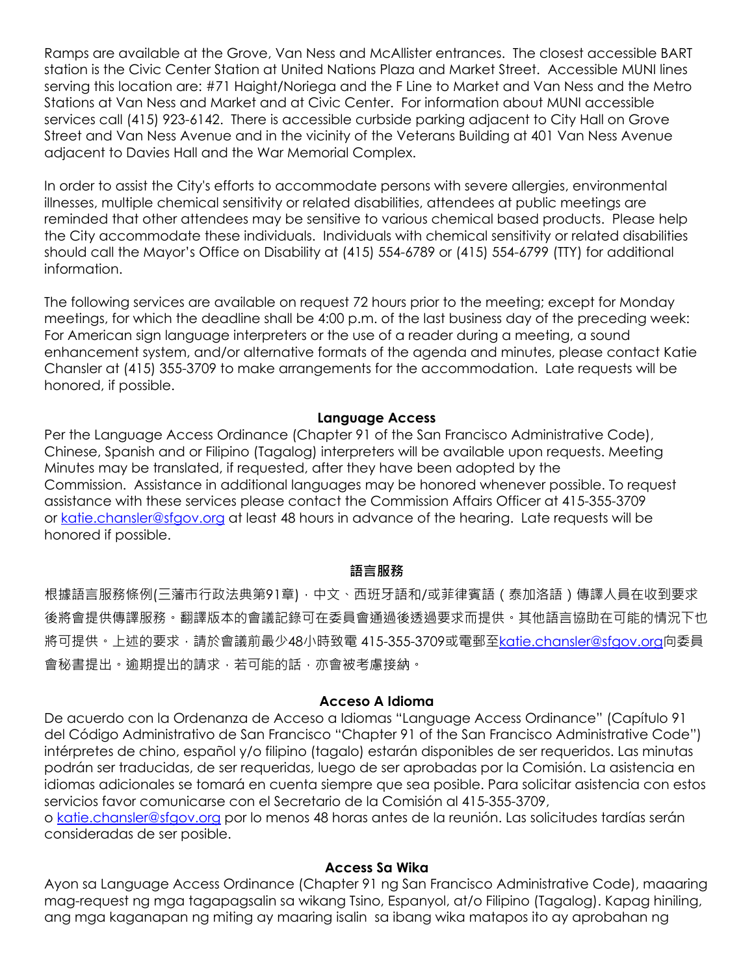Ramps are available at the Grove, Van Ness and McAllister entrances. The closest accessible BART station is the Civic Center Station at United Nations Plaza and Market Street. Accessible MUNI lines serving this location are: #71 Haight/Noriega and the F Line to Market and Van Ness and the Metro Stations at Van Ness and Market and at Civic Center. For information about MUNI accessible services call (415) 923-6142. There is accessible curbside parking adjacent to City Hall on Grove Street and Van Ness Avenue and in the vicinity of the Veterans Building at 401 Van Ness Avenue adjacent to Davies Hall and the War Memorial Complex.

In order to assist the City's efforts to accommodate persons with severe allergies, environmental illnesses, multiple chemical sensitivity or related disabilities, attendees at public meetings are reminded that other attendees may be sensitive to various chemical based products. Please help the City accommodate these individuals. Individuals with chemical sensitivity or related disabilities should call the Mayor's Office on Disability at (415) 554-6789 or (415) 554-6799 (TTY) for additional information.

The following services are available on request 72 hours prior to the meeting; except for Monday meetings, for which the deadline shall be 4:00 p.m. of the last business day of the preceding week: For American sign language interpreters or the use of a reader during a meeting, a sound enhancement system, and/or alternative formats of the agenda and minutes, please contact Katie Chansler at (415) 355-3709 to make arrangements for the accommodation. Late requests will be honored, if possible.

#### **Language Access**

Per the Language Access Ordinance (Chapter 91 of the San Francisco Administrative Code), Chinese, Spanish and or Filipino (Tagalog) interpreters will be available upon requests. Meeting Minutes may be translated, if requested, after they have been adopted by the Commission. Assistance in additional languages may be honored whenever possible. To request assistance with these services please contact the Commission Affairs Officer at 415-355-3709 or katie.chansler@sfgov.org at least 48 hours in advance of the hearing. Late requests will be honored if possible.

#### **語言服務**

根據語言服務條例(三藩市行政法典第91章),中文、西班牙語和/或菲律賓語 (泰加洛語)傳譯人員在收到要求 後將會提供傳譯服務。翻譯版本的會議記錄可在委員會通過後透過要求而提供。其他語言協助在可能的情況下也 將可提供。上述的要求,請於會議前最少48小時致電 415-355-3709或電郵至katie.chansler@sfgov.org向委員 會秘書提出。逾期提出的請求,若可能的話,亦會被考慮接納。

#### **Acceso A Idioma**

De acuerdo con la Ordenanza de Acceso a Idiomas "Language Access Ordinance" (Capítulo 91 del Código Administrativo de San Francisco "Chapter 91 of the San Francisco Administrative Code") intérpretes de chino, español y/o filipino (tagalo) estarán disponibles de ser requeridos. Las minutas podrán ser traducidas, de ser requeridas, luego de ser aprobadas por la Comisión. La asistencia en idiomas adicionales se tomará en cuenta siempre que sea posible. Para solicitar asistencia con estos servicios favor comunicarse con el Secretario de la Comisión al 415-355-3709,

o katie.chansler@sfgov.org por lo menos 48 horas antes de la reunión. Las solicitudes tardías serán consideradas de ser posible.

#### **Access Sa Wika**

Ayon sa Language Access Ordinance (Chapter 91 ng San Francisco Administrative Code), maaaring mag-request ng mga tagapagsalin sa wikang Tsino, Espanyol, at/o Filipino (Tagalog). Kapag hiniling, ang mga kaganapan ng miting ay maaring isalin sa ibang wika matapos ito ay aprobahan ng